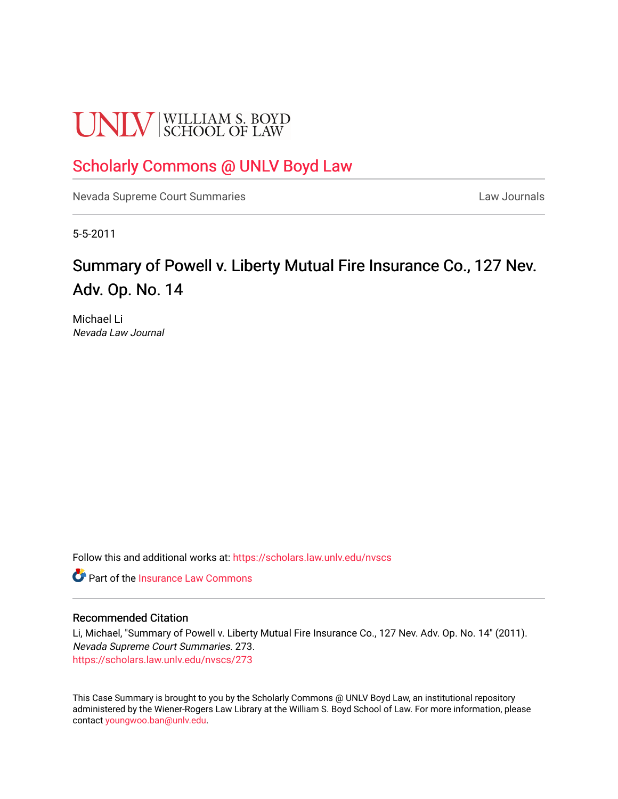# **UNLV** SCHOOL OF LAW

## [Scholarly Commons @ UNLV Boyd Law](https://scholars.law.unlv.edu/)

[Nevada Supreme Court Summaries](https://scholars.law.unlv.edu/nvscs) **Law Journals** Law Journals

5-5-2011

# Summary of Powell v. Liberty Mutual Fire Insurance Co., 127 Nev. Adv. Op. No. 14

Michael Li Nevada Law Journal

Follow this and additional works at: [https://scholars.law.unlv.edu/nvscs](https://scholars.law.unlv.edu/nvscs?utm_source=scholars.law.unlv.edu%2Fnvscs%2F273&utm_medium=PDF&utm_campaign=PDFCoverPages)

**C** Part of the [Insurance Law Commons](http://network.bepress.com/hgg/discipline/607?utm_source=scholars.law.unlv.edu%2Fnvscs%2F273&utm_medium=PDF&utm_campaign=PDFCoverPages)

#### Recommended Citation

Li, Michael, "Summary of Powell v. Liberty Mutual Fire Insurance Co., 127 Nev. Adv. Op. No. 14" (2011). Nevada Supreme Court Summaries. 273. [https://scholars.law.unlv.edu/nvscs/273](https://scholars.law.unlv.edu/nvscs/273?utm_source=scholars.law.unlv.edu%2Fnvscs%2F273&utm_medium=PDF&utm_campaign=PDFCoverPages)

This Case Summary is brought to you by the Scholarly Commons @ UNLV Boyd Law, an institutional repository administered by the Wiener-Rogers Law Library at the William S. Boyd School of Law. For more information, please contact [youngwoo.ban@unlv.edu](mailto:youngwoo.ban@unlv.edu).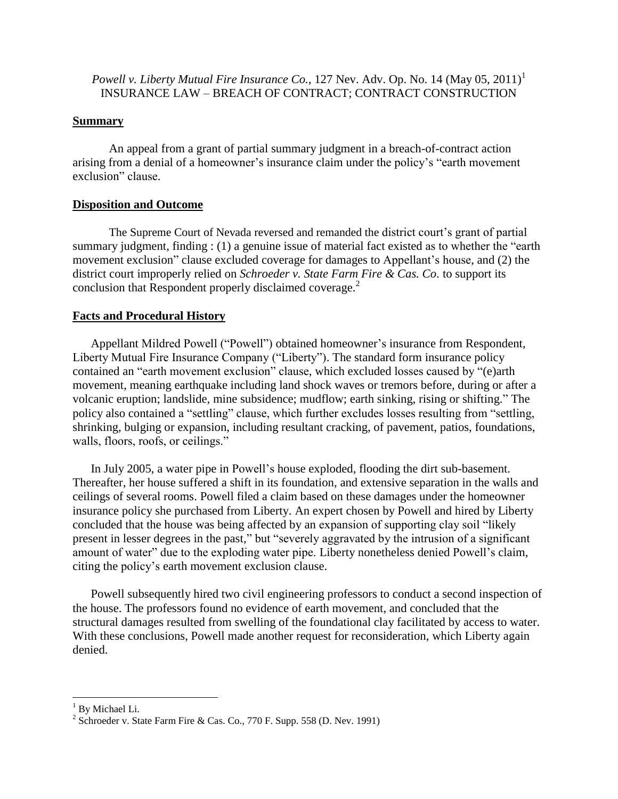*Powell v. Liberty Mutual Fire Insurance Co.,* 127 Nev. Adv. Op. No. 14 (May 05, 2011) 1 INSURANCE LAW – BREACH OF CONTRACT; CONTRACT CONSTRUCTION

#### **Summary**

An appeal from a grant of partial summary judgment in a breach-of-contract action arising from a denial of a homeowner's insurance claim under the policy's "earth movement exclusion" clause.

## **Disposition and Outcome**

The Supreme Court of Nevada reversed and remanded the district court's grant of partial summary judgment, finding : (1) a genuine issue of material fact existed as to whether the "earth movement exclusion" clause excluded coverage for damages to Appellant's house, and (2) the district court improperly relied on *Schroeder v. State Farm Fire & Cas. Co.* to support its conclusion that Respondent properly disclaimed coverage.<sup>2</sup>

## **Facts and Procedural History**

Appellant Mildred Powell ("Powell") obtained homeowner's insurance from Respondent, Liberty Mutual Fire Insurance Company ("Liberty"). The standard form insurance policy contained an "earth movement exclusion" clause, which excluded losses caused by "(e)arth movement, meaning earthquake including land shock waves or tremors before, during or after a volcanic eruption; landslide, mine subsidence; mudflow; earth sinking, rising or shifting." The policy also contained a "settling" clause, which further excludes losses resulting from "settling, shrinking, bulging or expansion, including resultant cracking, of pavement, patios, foundations, walls, floors, roofs, or ceilings."

In July 2005, a water pipe in Powell's house exploded, flooding the dirt sub-basement. Thereafter, her house suffered a shift in its foundation, and extensive separation in the walls and ceilings of several rooms. Powell filed a claim based on these damages under the homeowner insurance policy she purchased from Liberty. An expert chosen by Powell and hired by Liberty concluded that the house was being affected by an expansion of supporting clay soil "likely present in lesser degrees in the past," but "severely aggravated by the intrusion of a significant amount of water" due to the exploding water pipe. Liberty nonetheless denied Powell's claim, citing the policy's earth movement exclusion clause.

Powell subsequently hired two civil engineering professors to conduct a second inspection of the house. The professors found no evidence of earth movement, and concluded that the structural damages resulted from swelling of the foundational clay facilitated by access to water. With these conclusions, Powell made another request for reconsideration, which Liberty again denied.

 $\overline{\phantom{a}}$ 

 $<sup>1</sup>$  By Michael Li.</sup>

<sup>&</sup>lt;sup>2</sup> Schroeder v. State Farm Fire & Cas. Co., 770 F. Supp. 558 (D. Nev. 1991)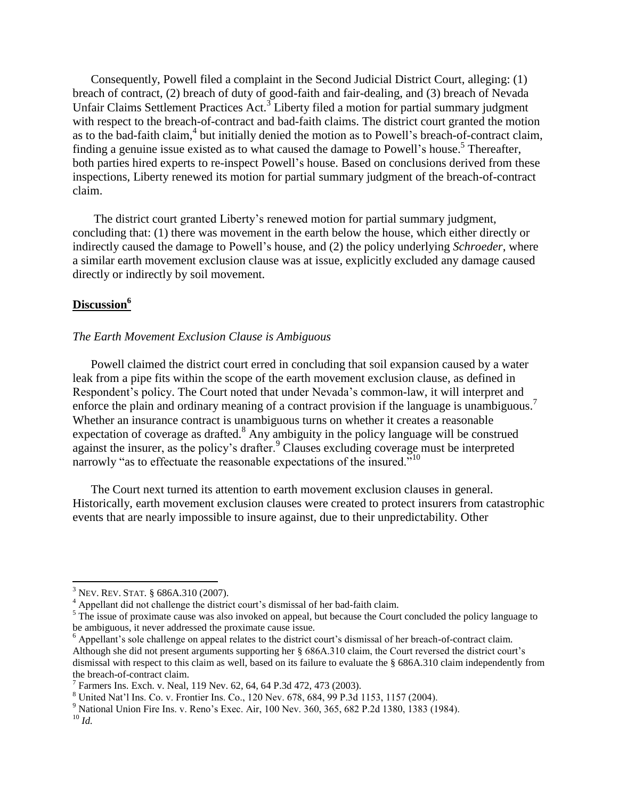Consequently, Powell filed a complaint in the Second Judicial District Court, alleging: (1) breach of contract, (2) breach of duty of good-faith and fair-dealing, and (3) breach of Nevada Unfair Claims Settlement Practices Act.<sup>3</sup> Liberty filed a motion for partial summary judgment with respect to the breach-of-contract and bad-faith claims. The district court granted the motion as to the bad-faith claim,<sup>4</sup> but initially denied the motion as to Powell's breach-of-contract claim, finding a genuine issue existed as to what caused the damage to Powell's house.<sup>5</sup> Thereafter, both parties hired experts to re-inspect Powell's house. Based on conclusions derived from these inspections, Liberty renewed its motion for partial summary judgment of the breach-of-contract claim.

The district court granted Liberty's renewed motion for partial summary judgment, concluding that: (1) there was movement in the earth below the house, which either directly or indirectly caused the damage to Powell's house, and (2) the policy underlying *Schroeder*, where a similar earth movement exclusion clause was at issue, explicitly excluded any damage caused directly or indirectly by soil movement.

#### **Discussion<sup>6</sup>**

#### *The Earth Movement Exclusion Clause is Ambiguous*

Powell claimed the district court erred in concluding that soil expansion caused by a water leak from a pipe fits within the scope of the earth movement exclusion clause, as defined in Respondent's policy. The Court noted that under Nevada's common-law, it will interpret and enforce the plain and ordinary meaning of a contract provision if the language is unambiguous.<sup>7</sup> Whether an insurance contract is unambiguous turns on whether it creates a reasonable expectation of coverage as drafted.<sup>8</sup> Any ambiguity in the policy language will be construed against the insurer, as the policy's drafter.<sup>9</sup> Clauses excluding coverage must be interpreted narrowly "as to effectuate the reasonable expectations of the insured."<sup>10</sup>

The Court next turned its attention to earth movement exclusion clauses in general. Historically, earth movement exclusion clauses were created to protect insurers from catastrophic events that are nearly impossible to insure against, due to their unpredictability. Other

 $\overline{a}$ 

<sup>3</sup> NEV. REV. STAT. § 686A.310 (2007).

<sup>4</sup> Appellant did not challenge the district court's dismissal of her bad-faith claim.

<sup>&</sup>lt;sup>5</sup> The issue of proximate cause was also invoked on appeal, but because the Court concluded the policy language to be ambiguous, it never addressed the proximate cause issue.

<sup>6</sup> Appellant's sole challenge on appeal relates to the district court's dismissal of her breach-of-contract claim. Although she did not present arguments supporting her § 686A.310 claim, the Court reversed the district court's dismissal with respect to this claim as well, based on its failure to evaluate the § 686A.310 claim independently from the breach-of-contract claim.

<sup>7</sup> Farmers Ins. Exch. v. Neal, 119 Nev. 62, 64, 64 P.3d 472, 473 (2003).

<sup>8</sup> United Nat'l Ins. Co. v. Frontier Ins. Co., 120 Nev. 678, 684, 99 P.3d 1153, 1157 (2004).

<sup>9</sup> National Union Fire Ins. v. Reno's Exec. Air, 100 Nev. 360, 365, 682 P.2d 1380, 1383 (1984).

<sup>10</sup> *Id.*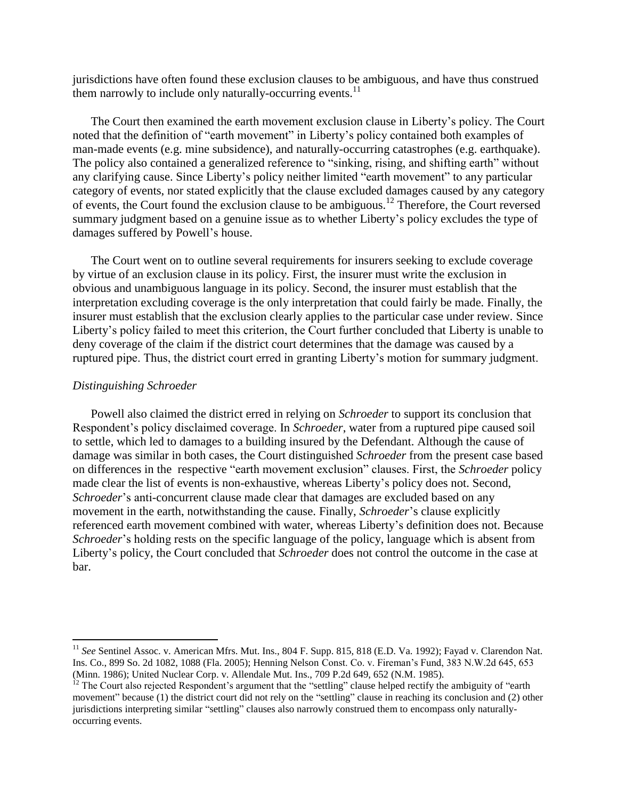jurisdictions have often found these exclusion clauses to be ambiguous, and have thus construed them narrowly to include only naturally-occurring events.<sup>11</sup>

The Court then examined the earth movement exclusion clause in Liberty's policy. The Court noted that the definition of "earth movement" in Liberty's policy contained both examples of man-made events (e.g. mine subsidence), and naturally-occurring catastrophes (e.g. earthquake). The policy also contained a generalized reference to "sinking, rising, and shifting earth" without any clarifying cause. Since Liberty's policy neither limited "earth movement" to any particular category of events, nor stated explicitly that the clause excluded damages caused by any category of events, the Court found the exclusion clause to be ambiguous.<sup>12</sup> Therefore, the Court reversed summary judgment based on a genuine issue as to whether Liberty's policy excludes the type of damages suffered by Powell's house.

The Court went on to outline several requirements for insurers seeking to exclude coverage by virtue of an exclusion clause in its policy. First, the insurer must write the exclusion in obvious and unambiguous language in its policy. Second, the insurer must establish that the interpretation excluding coverage is the only interpretation that could fairly be made. Finally, the insurer must establish that the exclusion clearly applies to the particular case under review. Since Liberty's policy failed to meet this criterion, the Court further concluded that Liberty is unable to deny coverage of the claim if the district court determines that the damage was caused by a ruptured pipe. Thus, the district court erred in granting Liberty's motion for summary judgment.

#### *Distinguishing Schroeder*

 $\overline{\phantom{a}}$ 

Powell also claimed the district erred in relying on *Schroeder* to support its conclusion that Respondent's policy disclaimed coverage. In *Schroeder*, water from a ruptured pipe caused soil to settle, which led to damages to a building insured by the Defendant. Although the cause of damage was similar in both cases, the Court distinguished *Schroeder* from the present case based on differences in the respective "earth movement exclusion" clauses. First, the *Schroeder* policy made clear the list of events is non-exhaustive, whereas Liberty's policy does not. Second, *Schroeder*'s anti-concurrent clause made clear that damages are excluded based on any movement in the earth, notwithstanding the cause. Finally, *Schroeder*'s clause explicitly referenced earth movement combined with water, whereas Liberty's definition does not. Because *Schroeder*'s holding rests on the specific language of the policy, language which is absent from Liberty's policy, the Court concluded that *Schroeder* does not control the outcome in the case at bar.

<sup>&</sup>lt;sup>11</sup> See Sentinel Assoc. v. American Mfrs. Mut. Ins., 804 F. Supp. 815, 818 (E.D. Va. 1992); Fayad v. Clarendon Nat. Ins. Co., 899 So. 2d 1082, 1088 (Fla. 2005); Henning Nelson Const. Co. v. Fireman's Fund, 383 N.W.2d 645, 653 (Minn. 1986); United Nuclear Corp. v. Allendale Mut. Ins., 709 P.2d 649, 652 (N.M. 1985).

<sup>&</sup>lt;sup>12</sup> The Court also rejected Respondent's argument that the "settling" clause helped rectify the ambiguity of "earth movement" because (1) the district court did not rely on the "settling" clause in reaching its conclusion and (2) other jurisdictions interpreting similar "settling" clauses also narrowly construed them to encompass only naturallyoccurring events.